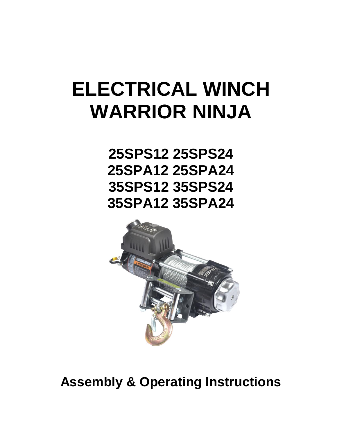# **ELECTRICAL WINCH WARRIOR NINJA**

**25SPS12 25SPS24 25SPA12 25SPA24 35SPS12 35SPS24 35SPA12 35SPA24**



**Assembly & Operating Instructions**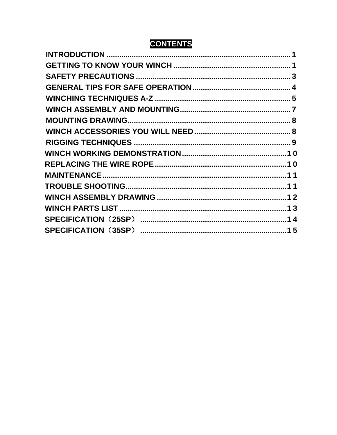# **CONTENTS**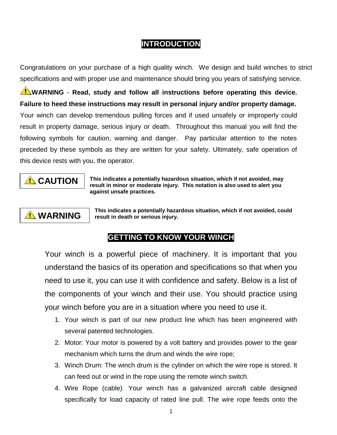## **INTRODUCTION**

Congratulations on your purchase of a high quality winch. We design and build winches to strict specifications and with proper use and maintenance should bring you years of satisfying service.

**WARNING** - Read, study and follow all instructions before operating this device. **Failure to heed these instructions may result in personal injury and/or property damage.** Your winch can develop tremendous pulling forces and if used unsafely or improperly could result in property damage, serious injury or death. Throughout this manual you will find the following symbols for caution, warning and danger. Pay particular attention to the notes preceded by these symbols as they are written for your safety. Ultimately, safe operation of this device rests with you, the operator.



**This indicates a potentially hazardous situation, which if not avoided, may result in minor or moderate injury. This notation is also used to alert you against unsafe practices.**

# **A** WARNING

**This indicates a potentially hazardous situation, which if not avoided, could result in death or serious injury.**

#### **GETTING TO KNOW YOUR WINCH**

Your winch is a powerful piece of machinery. It is important that you understand the basics of its operation and specifications so that when you need to use it, you can use it with confidence and safety. Below is a list of the components of your winch and their use. You should practice using your winch before you are in a situation where you need to use it.

- 1. Your winch is part of our new product line which has been engineered with several patented technologies.
- 2. Motor: Your motor is powered by a volt battery and provides power to the gear mechanism which turns the drum and winds the wire rope;
- 3. Winch Drum: The winch drum is the cylinder on which the wire rope is stored. It can feed out or wind in the rope using the remote winch switch.
- 4. Wire Rope (cable): Your winch has a galvanized aircraft cable designed specifically for load capacity of rated line pull. The wire rope feeds onto the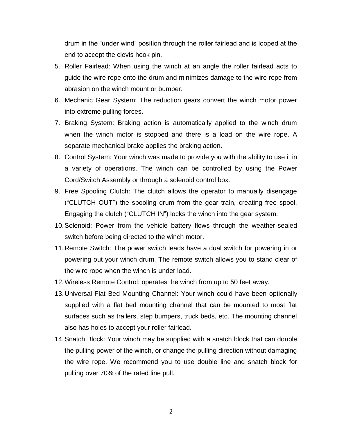drum in the "under wind" position through the roller fairlead and is looped at the end to accept the clevis hook pin.

- 5. Roller Fairlead: When using the winch at an angle the roller fairlead acts to guide the wire rope onto the drum and minimizes damage to the wire rope from abrasion on the winch mount or bumper.
- 6. Mechanic Gear System: The reduction gears convert the winch motor power into extreme pulling forces.
- 7. Braking System: Braking action is automatically applied to the winch drum when the winch motor is stopped and there is a load on the wire rope. A separate mechanical brake applies the braking action.
- 8. Control System: Your winch was made to provide you with the ability to use it in a variety of operations. The winch can be controlled by using the Power Cord/Switch Assembly or through a solenoid control box.
- 9. Free Spooling Clutch: The clutch allows the operator to manually disengage ("CLUTCH OUT") the spooling drum from the gear train, creating free spool. Engaging the clutch ("CLUTCH IN") locks the winch into the gear system.
- 10.Solenoid: Power from the vehicle battery flows through the weather-sealed switch before being directed to the winch motor.
- 11.Remote Switch: The power switch leads have a dual switch for powering in or powering out your winch drum. The remote switch allows you to stand clear of the wire rope when the winch is under load.
- 12.Wireless Remote Control: operates the winch from up to 50 feet away.
- 13.Universal Flat Bed Mounting Channel: Your winch could have been optionally supplied with a flat bed mounting channel that can be mounted to most flat surfaces such as trailers, step bumpers, truck beds, etc. The mounting channel also has holes to accept your roller fairlead.
- 14.Snatch Block: Your winch may be supplied with a snatch block that can double the pulling power of the winch, or change the pulling direction without damaging the wire rope. We recommend you to use double line and snatch block for pulling over 70% of the rated line pull.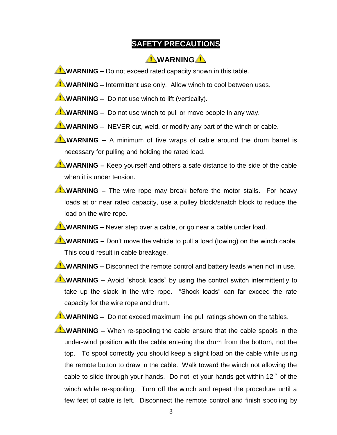## **SAFETY PRECAUTIONS**

# **WARNING**

**WARNING –** Do not exceed rated capacity shown in this table.

**WARNING** – Intermittent use only. Allow winch to cool between uses.

**WARNING** – Do not use winch to lift (vertically).

**WARNING –** Do not use winch to pull or move people in any way.

**WARNING –** NEVER cut, weld, or modify any part of the winch or cable.

**WARNING –** A minimum of five wraps of cable around the drum barrel is necessary for pulling and holding the rated load.

**WARNING** – Keep yourself and others a safe distance to the side of the cable when it is under tension.

**WARNING** – The wire rope may break before the motor stalls. For heavy loads at or near rated capacity, use a pulley block/snatch block to reduce the load on the wire rope.

**WARNING –** Never step over a cable, or go near a cable under load.

**WARNING** – Don't move the vehicle to pull a load (towing) on the winch cable. This could result in cable breakage.

**WARNING** – Disconnect the remote control and battery leads when not in use.

**WARNING** – Avoid "shock loads" by using the control switch intermittently to take up the slack in the wire rope. "Shock loads" can far exceed the rate capacity for the wire rope and drum.

**WARNING** – Do not exceed maximum line pull ratings shown on the tables.

**WARNING** – When re-spooling the cable ensure that the cable spools in the under-wind position with the cable entering the drum from the bottom, not the top. To spool correctly you should keep a slight load on the cable while using the remote button to draw in the cable. Walk toward the winch not allowing the cable to slide through your hands. Do not let your hands get within 12" of the winch while re-spooling. Turn off the winch and repeat the procedure until a few feet of cable is left. Disconnect the remote control and finish spooling by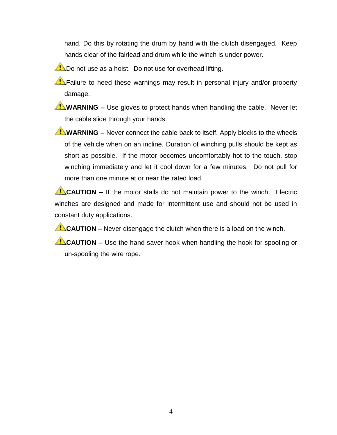hand. Do this by rotating the drum by hand with the clutch disengaged. Keep hands clear of the fairlead and drum while the winch is under power.

**1.** Do not use as a hoist. Do not use for overhead lifting.

**T** Failure to heed these warnings may result in personal injury and/or property damage.

**WARNING –** Use gloves to protect hands when handling the cable. Never let the cable slide through your hands.

**WARNING** – Never connect the cable back to itself. Apply blocks to the wheels of the vehicle when on an incline. Duration of winching pulls should be kept as short as possible. If the motor becomes uncomfortably hot to the touch, stop winching immediately and let it cool down for a few minutes. Do not pull for more than one minute at or near the rated load.

**CAUTION** – If the motor stalls do not maintain power to the winch. Electric winches are designed and made for intermittent use and should not be used in constant duty applications.

**CAUTION –** Never disengage the clutch when there is a load on the winch.

**CAUTION –** Use the hand saver hook when handling the hook for spooling or un-spooling the wire rope.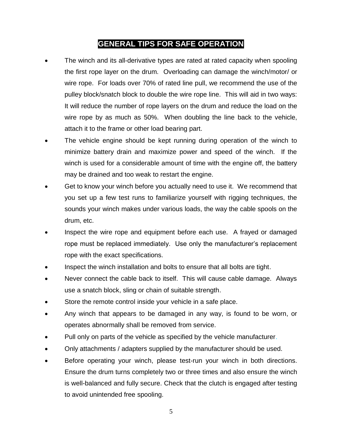#### **GENERAL TIPS FOR SAFE OPERATION**

- The winch and its all-derivative types are rated at rated capacity when spooling the first rope layer on the drum. Overloading can damage the winch/motor/ or wire rope. For loads over 70% of rated line pull, we recommend the use of the pulley block/snatch block to double the wire rope line. This will aid in two ways: It will reduce the number of rope layers on the drum and reduce the load on the wire rope by as much as 50%. When doubling the line back to the vehicle, attach it to the frame or other load bearing part.
- The vehicle engine should be kept running during operation of the winch to minimize battery drain and maximize power and speed of the winch. If the winch is used for a considerable amount of time with the engine off, the battery may be drained and too weak to restart the engine.
- Get to know your winch before you actually need to use it. We recommend that you set up a few test runs to familiarize yourself with rigging techniques, the sounds your winch makes under various loads, the way the cable spools on the drum, etc.
- Inspect the wire rope and equipment before each use. A frayed or damaged rope must be replaced immediately. Use only the manufacturer's replacement rope with the exact specifications.
- Inspect the winch installation and bolts to ensure that all bolts are tight.
- Never connect the cable back to itself. This will cause cable damage. Always use a snatch block, sling or chain of suitable strength.
- Store the remote control inside your vehicle in a safe place.
- Any winch that appears to be damaged in any way, is found to be worn, or operates abnormally shall be removed from service.
- Pull only on parts of the vehicle as specified by the vehicle manufacturer.
- Only attachments / adapters supplied by the manufacturer should be used.
- Before operating your winch, please test-run your winch in both directions. Ensure the drum turns completely two or three times and also ensure the winch is well-balanced and fully secure. Check that the clutch is engaged after testing to avoid unintended free spooling.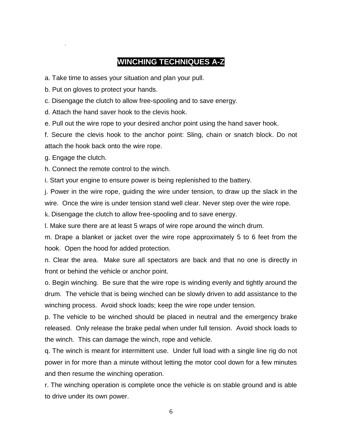## **WINCHING TECHNIQUES A-Z**

a. Take time to asses your situation and plan your pull.

b. Put on gloves to protect your hands.

c. Disengage the clutch to allow free-spooling and to save energy.

d. Attach the hand saver hook to the clevis hook.

e. Pull out the wire rope to your desired anchor point using the hand saver hook.

f. Secure the clevis hook to the anchor point: Sling, chain or snatch block. Do not attach the hook back onto the wire rope.

g. Engage the clutch.

.

h. Connect the remote control to the winch.

i. Start your engine to ensure power is being replenished to the battery.

j. Power in the wire rope, guiding the wire under tension, to draw up the slack in the wire. Once the wire is under tension stand well clear. Never step over the wire rope.

k. Disengage the clutch to allow free-spooling and to save energy.

l. Make sure there are at least 5 wraps of wire rope around the winch drum.

m. Drape a blanket or jacket over the wire rope approximately 5 to 6 feet from the hook. Open the hood for added protection.

n. Clear the area. Make sure all spectators are back and that no one is directly in front or behind the vehicle or anchor point.

o. Begin winching. Be sure that the wire rope is winding evenly and tightly around the drum. The vehicle that is being winched can be slowly driven to add assistance to the winching process. Avoid shock loads; keep the wire rope under tension.

p. The vehicle to be winched should be placed in neutral and the emergency brake released. Only release the brake pedal when under full tension. Avoid shock loads to the winch. This can damage the winch, rope and vehicle.

q. The winch is meant for intermittent use. Under full load with a single line rig do not power in for more than a minute without letting the motor cool down for a few minutes and then resume the winching operation.

r. The winching operation is complete once the vehicle is on stable ground and is able to drive under its own power.

6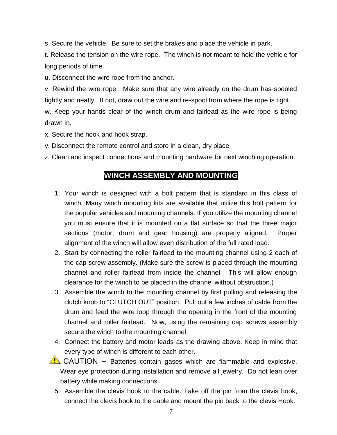s. Secure the vehicle. Be sure to set the brakes and place the vehicle in park.

t. Release the tension on the wire rope. The winch is not meant to hold the vehicle for long periods of time.

u. Disconnect the wire rope from the anchor.

v. Rewind the wire rope. Make sure that any wire already on the drum has spooled tightly and neatly. If not, draw out the wire and re-spool from where the rope is tight.

w. Keep your hands clear of the winch drum and fairlead as the wire rope is being drawn in.

x. Secure the hook and hook strap.

y. Disconnect the remote control and store in a clean, dry place.

z. Clean and inspect connections and mounting hardware for next winching operation.

## **WINCH ASSEMBLY AND MOUNTING**

- 1. Your winch is designed with a bolt pattern that is standard in this class of winch. Many winch mounting kits are available that utilize this bolt pattern for the popular vehicles and mounting channels. If you utilize the mounting channel you must ensure that it is mounted on a flat surface so that the three major sections (motor, drum and gear housing) are properly aligned. Proper alignment of the winch will allow even distribution of the full rated load.
- 2. Start by connecting the roller fairlead to the mounting channel using 2 each of the cap screw assembly. (Make sure the screw is placed through the mounting channel and roller fairlead from inside the channel. This will allow enough clearance for the winch to be placed in the channel without obstruction.)
- 3. Assemble the winch to the mounting channel by first pulling and releasing the clutch knob to "CLUTCH OUT" position. Pull out a few inches of cable from the drum and feed the wire loop through the opening in the front of the mounting channel and roller fairlead. Now, using the remaining cap screws assembly secure the winch to the mounting channel.
- 4. Connect the battery and motor leads as the drawing above. Keep in mind that every type of winch is different to each other.

 $\triangle$  CAUTION – Batteries contain gases which are flammable and explosive. Wear eye protection during installation and remove all jewelry. Do not lean over battery while making connections.

5. Assemble the clevis hook to the cable. Take off the pin from the clevis hook, connect the clevis hook to the cable and mount the pin back to the clevis Hook.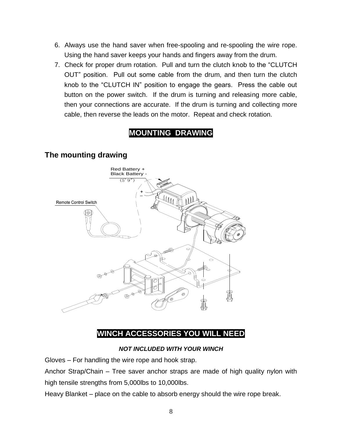- 6. Always use the hand saver when free-spooling and re-spooling the wire rope. Using the hand saver keeps your hands and fingers away from the drum.
- 7. Check for proper drum rotation. Pull and turn the clutch knob to the "CLUTCH OUT" position. Pull out some cable from the drum, and then turn the clutch knob to the "CLUTCH IN" position to engage the gears. Press the cable out button on the power switch. If the drum is turning and releasing more cable, then your connections are accurate. If the drum is turning and collecting more cable, then reverse the leads on the motor. Repeat and check rotation.

## **MOUNTING DRAWING**



#### **The mounting drawing**

#### **WINCH ACCESSORIES YOU WILL NEED**

#### *NOT INCLUDED WITH YOUR WINCH*

Gloves – For handling the wire rope and hook strap.

Anchor Strap/Chain – Tree saver anchor straps are made of high quality nylon with high tensile strengths from 5,000lbs to 10,000lbs.

Heavy Blanket – place on the cable to absorb energy should the wire rope break.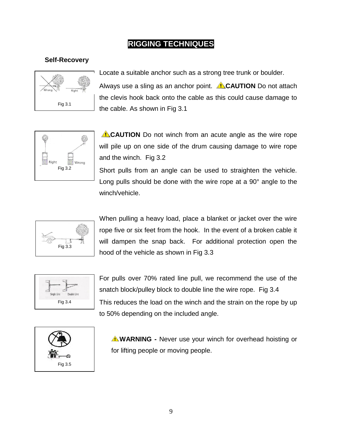## **RIGGING TECHNIQUES**

#### **Self-Recovery**



Locate a suitable anchor such as a strong tree trunk or boulder.

Always use a sling as an anchor point. **ALCAUTION** Do not attach the clevis hook back onto the cable as this could cause damage to the cable. As shown in Fig 3.1



**CAUTION** Do not winch from an acute angle as the wire rope will pile up on one side of the drum causing damage to wire rope and the winch. Fig 3.2

Short pulls from an angle can be used to straighten the vehicle. Long pulls should be done with the wire rope at a 90° angle to the winch/vehicle.



When pulling a heavy load, place a blanket or jacket over the wire rope five or six feet from the hook. In the event of a broken cable it will dampen the snap back. For additional protection open the hood of the vehicle as shown in Fig 3.3



For pulls over 70% rated line pull, we recommend the use of the snatch block/pulley block to double line the wire rope. Fig 3.4 This reduces the load on the winch and the strain on the rope by up to 50% depending on the included angle.



**A** WARNING - Never use your winch for overhead hoisting or for lifting people or moving people.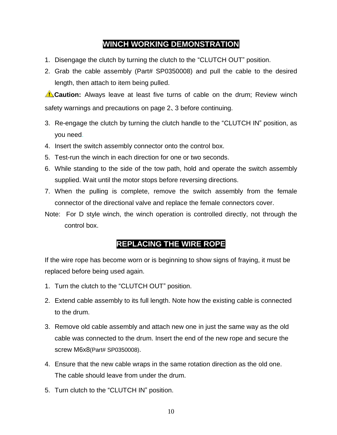## **WINCH WORKING DEMONSTRATION**

- 1. Disengage the clutch by turning the clutch to the "CLUTCH OUT" position.
- 2. Grab the cable assembly (Part# SP0350008) and pull the cable to the desired length, then attach to item being pulled.

**Caution:** Always leave at least five turns of cable on the drum; Review winch safety warnings and precautions on page 2、3 before continuing.

- 3. Re-engage the clutch by turning the clutch handle to the "CLUTCH IN" position, as you need.
- 4. Insert the switch assembly connector onto the control box.
- 5. Test-run the winch in each direction for one or two seconds.
- 6. While standing to the side of the tow path, hold and operate the switch assembly supplied. Wait until the motor stops before reversing directions.
- 7. When the pulling is complete, remove the switch assembly from the female connector of the directional valve and replace the female connectors cover.
- Note: For D style winch, the winch operation is controlled directly, not through the control box.

# **REPLACING THE WIRE ROPE**

If the wire rope has become worn or is beginning to show signs of fraying, it must be replaced before being used again.

- 1. Turn the clutch to the "CLUTCH OUT" position.
- 2. Extend cable assembly to its full length. Note how the existing cable is connected to the drum.
- 3. Remove old cable assembly and attach new one in just the same way as the old cable was connected to the drum. Insert the end of the new rope and secure the screw M6x8(Part# SP0350008).
- 4. Ensure that the new cable wraps in the same rotation direction as the old one. The cable should leave from under the drum.
- 5. Turn clutch to the "CLUTCH IN" position.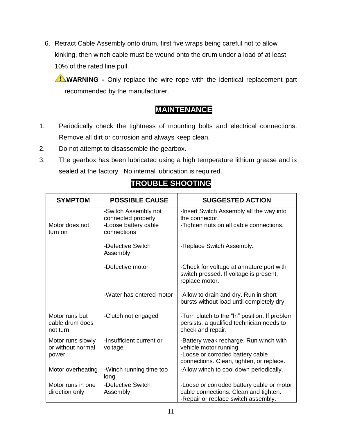6. Retract Cable Assembly onto drum, first five wraps being careful not to allow kinking, then winch cable must be wound onto the drum under a load of at least 10% of the rated line pull.

**WARNING** - Only replace the wire rope with the identical replacement part recommended by the manufacturer.

# **1. MAINTENANCE**

- 1. Periodically check the tightness of mounting bolts and electrical connections. Remove all dirt or corrosion and always keep clean.
- 2. Do not attempt to disassemble the gearbox.
- 3. The gearbox has been lubricated using a high temperature lithium grease and is sealed at the factory. No internal lubrication is required.

| <b>SYMPTOM</b>                                  | <b>POSSIBLE CAUSE</b>                                                             | <b>SUGGESTED ACTION</b>                                                                                                                          |
|-------------------------------------------------|-----------------------------------------------------------------------------------|--------------------------------------------------------------------------------------------------------------------------------------------------|
| Motor does not<br>turn on                       | -Switch Assembly not<br>connected properly<br>-Loose battery cable<br>connections | -Insert Switch Assembly all the way into<br>the connector.<br>-Tighten nuts on all cable connections.                                            |
|                                                 | -Defective Switch<br>Assembly                                                     | -Replace Switch Assembly.                                                                                                                        |
|                                                 | -Defective motor                                                                  | -Check for voltage at armature port with<br>switch pressed. If voltage is present,<br>replace motor.                                             |
|                                                 | -Water has entered motor                                                          | -Allow to drain and dry. Run in short<br>bursts without load until completely dry.                                                               |
| Motor runs but<br>cable drum does<br>not turn   | -Clutch not engaged                                                               | -Turn clutch to the "In" position. If problem<br>persists, a qualified technician needs to<br>check and repair.                                  |
| Motor runs slowly<br>or without normal<br>power | -Insufficient current or<br>voltage                                               | -Battery weak recharge. Run winch with<br>vehicle motor running.<br>-Loose or corroded battery cable<br>connections. Clean, tighten, or replace. |
| Motor overheating                               | -Winch running time too<br>long                                                   | -Allow winch to cool down periodically.                                                                                                          |
| Motor runs in one<br>direction only             | -Defective Switch<br>Assembly                                                     | -Loose or corroded battery cable or motor<br>cable connections. Clean and tighten.<br>-Repair or replace switch assembly.                        |

# **TROUBLE SHOOTING**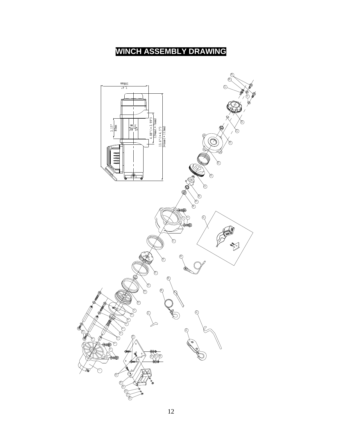# **WINCH ASSEMBLY DRAWING**

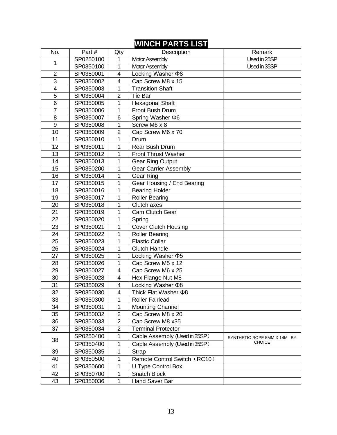# **WINCH PARTS LIST**

| No.                     | Part#     | Qty                     | Description                       | Remark                      |
|-------------------------|-----------|-------------------------|-----------------------------------|-----------------------------|
|                         | SP0250100 | 1                       | <b>Motor Assembly</b>             | Used in 25SP                |
| 1                       | SP0350100 | 1                       | <b>Motor Assembly</b>             | Used in 35SP                |
| $\overline{2}$          | SP0350001 | 4                       | Locking Washer $\Phi$ 8           |                             |
| $\overline{3}$          | SP0350002 | $\overline{\mathbf{4}}$ | Cap Screw M8 x 15                 |                             |
| $\overline{\mathbf{4}}$ | SP0350003 | 1                       | <b>Transition Shaft</b>           |                             |
| $\overline{5}$          | SP0350004 | $\overline{2}$          | <b>Tie Bar</b>                    |                             |
| 6                       | SP0350005 | 1                       | Hexagonal Shaft                   |                             |
| $\overline{7}$          | SP0350006 | $\mathbf 1$             | Front Bush Drum                   |                             |
| 8                       | SP0350007 | 6                       | Spring Washer $\overline{\Phi 6}$ |                             |
| $\boldsymbol{9}$        | SP0350008 | 1                       | Screw M6 x 8                      |                             |
| 10                      | SP0350009 | $\overline{2}$          | Cap Screw M6 x 70                 |                             |
| 11                      | SP0350010 | 1                       | Drum                              |                             |
| 12                      | SP0350011 | 1                       | Rear Bush Drum                    |                             |
| 13                      | SP0350012 | 1                       | <b>Front Thrust Washer</b>        |                             |
| 14                      | SP0350013 | 1                       | <b>Gear Ring Output</b>           |                             |
| 15                      | SP0350200 | 1                       | Gear Carrier Assembly             |                             |
| 16                      | SP0350014 | 1                       | Gear Ring                         |                             |
| 17                      | SP0350015 | 1                       | Gear Housing / End Bearing        |                             |
| 18                      | SP0350016 | 1                       | <b>Bearing Holder</b>             |                             |
| 19                      | SP0350017 | 1                       | <b>Roller Bearing</b>             |                             |
| 20                      | SP0350018 | 1                       | Clutch axes                       |                             |
| 21                      | SP0350019 | 1                       | Cam Clutch Gear                   |                             |
| 22                      | SP0350020 | 1                       | Spring                            |                             |
| 23                      | SP0350021 | 1                       | <b>Cover Clutch Housing</b>       |                             |
| 24                      | SP0350022 | 1                       | <b>Roller Bearing</b>             |                             |
| 25                      | SP0350023 | 1                       | <b>Elastic Collar</b>             |                             |
| 26                      | SP0350024 | 1                       | <b>Clutch Handle</b>              |                             |
| 27                      | SP0350025 | 1                       | Locking Washer $\Phi$ 5           |                             |
| 28                      | SP0350026 | 1                       | Cap Screw M5 x 12                 |                             |
| 29                      | SP0350027 | 4                       | Cap Screw M6 x 25                 |                             |
| 30                      | SP0350028 | 4                       | Hex Flange Nut M8                 |                             |
| 31                      | SP0350029 | 4                       | Locking Washer $\Phi$ 8           |                             |
| 32                      | SP0350030 | $\overline{4}$          | Thick Flat Washer $\Phi$ 8        |                             |
| 33                      | SP0350300 | 1                       | <b>Roller Fairlead</b>            |                             |
| 34                      | SP0350031 | 1                       | <b>Mounting Channel</b>           |                             |
| 35                      | SP0350032 | $\overline{2}$          | Cap Screw M8 x 20                 |                             |
| 36                      | SP0350033 | 2                       | Cap Screw M8 x35                  |                             |
| 37                      | SP0350034 | $\overline{c}$          | <b>Terminal Protector</b>         |                             |
|                         | SP0250400 | $\mathbf 1$             | Cable Assembly (Used in 25SP)     | SYNTHETIC ROPE 5MM X 14M BY |
| 38                      | SP0350400 | $\mathbf 1$             | Cable Assembly (Used in 35SP)     | <b>CHOICE</b>               |
| 39                      | SP0350035 | 1                       | <b>Strap</b>                      |                             |
| 40                      | SP0350500 | 1                       | Remote Control Switch (RC10)      |                             |
| 41                      | SP0350600 | $\mathbf 1$             | U Type Control Box                |                             |
| 42                      | SP0350700 | 1                       | Snatch Block                      |                             |
| 43                      | SP0350036 | 1                       | Hand Saver Bar                    |                             |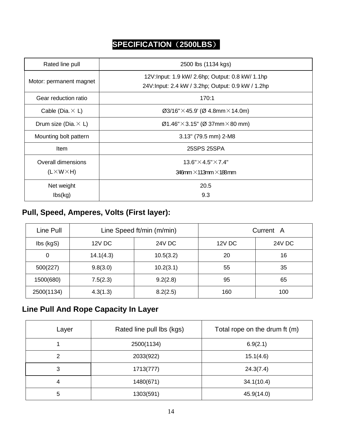# **SPECIFICATION**(**2500LBS**)

| Rated line pull             | 2500 lbs (1134 kgs)                                                                                  |
|-----------------------------|------------------------------------------------------------------------------------------------------|
| Motor: permanent magnet     | 12V:Input: 1.9 kW/ 2.6hp; Output: 0.8 kW/ 1.1hp<br>24V:Input: 2.4 kW / 3.2hp; Output: 0.9 kW / 1.2hp |
| Gear reduction ratio        | 170:1                                                                                                |
| Cable (Dia. $\times$ L)     | $\varnothing$ 3/16" $\times$ 45.9' ( $\varnothing$ 4.8mm $\times$ 14.0m)                             |
| Drum size (Dia. $\times$ L) | $\varnothing$ 1.46" $\times$ 3.15" ( $\varnothing$ 37mm $\times$ 80 mm)                              |
| Mounting bolt pattern       | 3.13" (79.5 mm) 2-M8                                                                                 |
| <b>Item</b>                 | 25SPS 25SPA                                                                                          |
| Overall dimensions          | $13.6" \times 4.5" \times 7.4"$                                                                      |
| $(L \times W \times H)$     | $346$ mm $\times$ 113mm $\times$ 188mm                                                               |
| Net weight                  | 20.5                                                                                                 |
| $\mathsf{lbs}(\mathsf{kg})$ | 9.3                                                                                                  |

# **Pull, Speed, Amperes, Volts (First layer):**

| Line Pull  | Line Speed ft/min (m/min) |               |               | Current A |
|------------|---------------------------|---------------|---------------|-----------|
| Ibs (kgS)  | 12V DC                    | <b>24V DC</b> | <b>12V DC</b> | 24V DC    |
| 0          | 14.1(4.3)                 | 10.5(3.2)     | 20            | 16        |
| 500(227)   | 9.8(3.0)                  | 10.2(3.1)     | 55            | 35        |
| 1500(680)  | 7.5(2.3)                  | 9.2(2.8)      | 95            | 65        |
| 2500(1134) | 4.3(1.3)                  | 8.2(2.5)      | 160           | 100       |

# **Line Pull And Rope Capacity In Layer**

| Layer | Rated line pull lbs (kgs) | Total rope on the drum ft (m) |
|-------|---------------------------|-------------------------------|
|       | 2500(1134)                | 6.9(2.1)                      |
| 2     | 2033(922)                 | 15.1(4.6)                     |
| 3     | 1713(777)                 | 24.3(7.4)                     |
| 4     | 1480(671)                 | 34.1(10.4)                    |
| 5     | 1303(591)                 | 45.9(14.0)                    |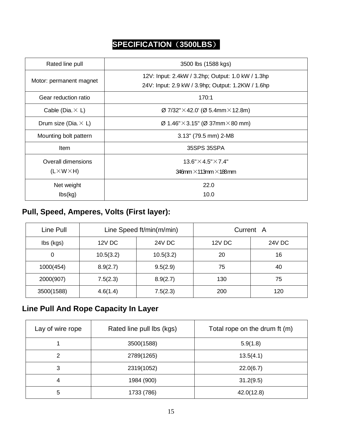# **SPECIFICATION**(**3500LBS**)

| Rated line pull             | 3500 lbs (1588 kgs)                                                                                    |
|-----------------------------|--------------------------------------------------------------------------------------------------------|
| Motor: permanent magnet     | 12V: Input: 2.4kW / 3.2hp; Output: 1.0 kW / 1.3hp<br>24V: Input: 2.9 kW / 3.9hp; Output: 1.2KW / 1.6hp |
| Gear reduction ratio        | 170:1                                                                                                  |
| Cable (Dia. $\times$ L)     | $\varnothing$ 7/32" $\times$ 42.0' ( $\varnothing$ 5.4mm $\times$ 12.8m)                               |
| Drum size (Dia. $\times$ L) | $\varnothing$ 1.46" $\times$ 3.15" ( $\varnothing$ 37mm $\times$ 80 mm)                                |
| Mounting bolt pattern       | 3.13" (79.5 mm) 2-M8                                                                                   |
| Item                        | 35SPS 35SPA                                                                                            |
| Overall dimensions          | $13.6" \times 4.5" \times 7.4"$                                                                        |
| $(L \times W \times H)$     | $346$ mm $\times$ 113mm $\times$ 188mm                                                                 |
| Net weight                  | 22.0                                                                                                   |
| $\mathsf{lbs}(\mathsf{kg})$ | 10.0                                                                                                   |

# **Pull, Speed, Amperes, Volts (First layer):**

| Line Pull  | Line Speed ft/min(m/min) |           |        | Current A |
|------------|--------------------------|-----------|--------|-----------|
| lbs (kgs)  | <b>12V DC</b>            | 24V DC    | 12V DC | 24V DC    |
| 0          | 10.5(3.2)                | 10.5(3.2) | 20     | 16        |
| 1000(454)  | 8.9(2.7)                 | 9.5(2.9)  | 75     | 40        |
| 2000(907)  | 7.5(2.3)                 | 8.9(2.7)  | 130    | 75        |
| 3500(1588) | 4.6(1.4)                 | 7.5(2.3)  | 200    | 120       |

# **Line Pull And Rope Capacity In Layer**

| Lay of wire rope | Rated line pull lbs (kgs) | Total rope on the drum ft (m) |
|------------------|---------------------------|-------------------------------|
|                  | 3500(1588)                | 5.9(1.8)                      |
| 2                | 2789(1265)                | 13.5(4.1)                     |
| 3                | 2319(1052)                | 22.0(6.7)                     |
| $\overline{4}$   | 1984 (900)                | 31.2(9.5)                     |
| 5                | 1733 (786)                | 42.0(12.8)                    |